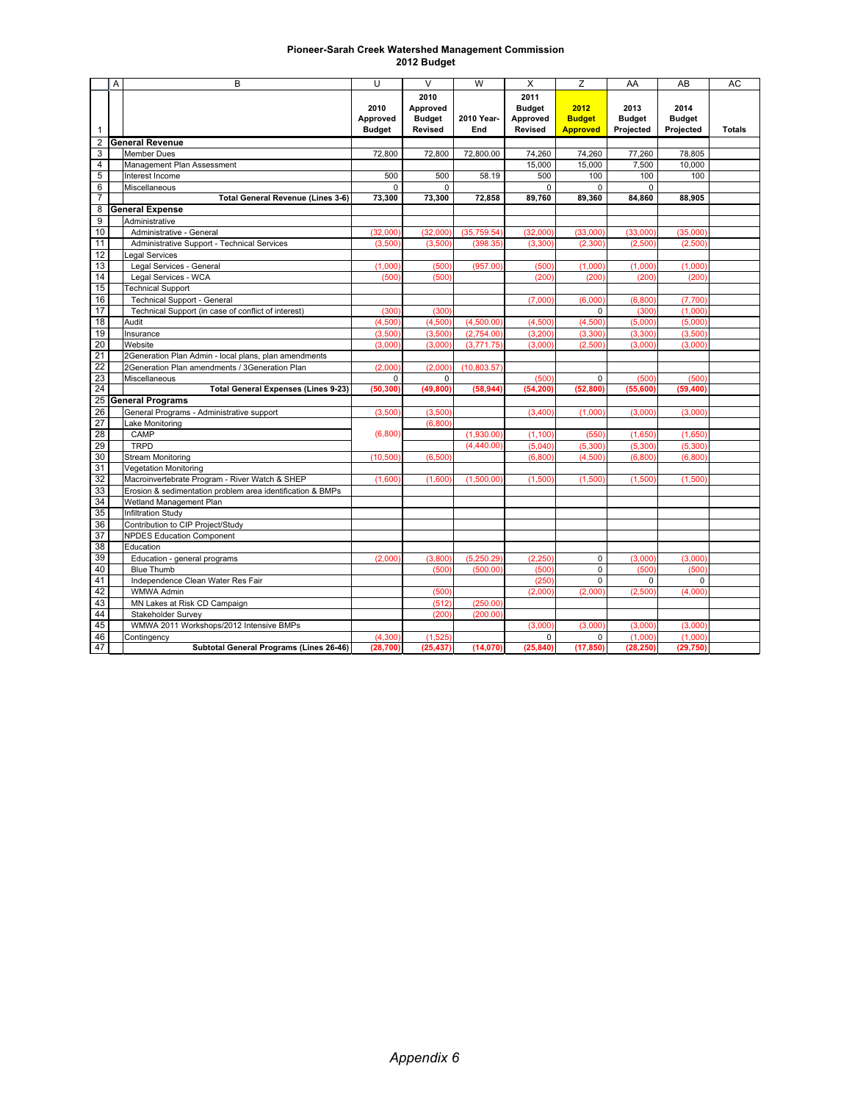## **Pioneer-Sarah Creek Watershed Management Commission 2012 Budget**

|    | A                       | B                                                          | U                                 | $\vee$                                              | W                 | X                                                   | Z                                        | AA                                 | AB                                 | AC            |
|----|-------------------------|------------------------------------------------------------|-----------------------------------|-----------------------------------------------------|-------------------|-----------------------------------------------------|------------------------------------------|------------------------------------|------------------------------------|---------------|
| 1  |                         |                                                            | 2010<br>Approved<br><b>Budget</b> | 2010<br>Approved<br><b>Budget</b><br><b>Revised</b> | 2010 Year-<br>End | 2011<br><b>Budget</b><br>Approved<br><b>Revised</b> | 2012<br><b>Budget</b><br><b>Approved</b> | 2013<br><b>Budget</b><br>Projected | 2014<br><b>Budget</b><br>Projected | <b>Totals</b> |
| 2  |                         | <b>General Revenue</b>                                     |                                   |                                                     |                   |                                                     |                                          |                                    |                                    |               |
| 3  |                         | <b>Member Dues</b>                                         | 72,800                            | 72,800                                              | 72,800.00         | 74,260                                              | 74,260                                   | 77,260                             | 78,805                             |               |
| 4  |                         | Management Plan Assessment                                 |                                   |                                                     |                   | 15,000                                              | 15.000                                   | 7,500                              | 10,000                             |               |
| 5  |                         | Interest Income                                            | 500                               | 500                                                 | 58.19             | 500                                                 | 100                                      | 100                                | 100                                |               |
| 6  |                         | Miscellaneous                                              | 0                                 | $\Omega$                                            |                   | $\mathbf 0$                                         | $\mathbf 0$                              | $\Omega$                           |                                    |               |
| 7  |                         | <b>Total General Revenue (Lines 3-6)</b>                   | 73,300                            | 73,300                                              | 72,858            | 89,760                                              | 89,360                                   | 84,860                             | 88,905                             |               |
| 8  |                         | <b>General Expense</b>                                     |                                   |                                                     |                   |                                                     |                                          |                                    |                                    |               |
| 9  |                         | Administrative                                             |                                   |                                                     |                   |                                                     |                                          |                                    |                                    |               |
| 10 |                         | Administrative - General                                   | (32,000)                          | (32,000)                                            | (35, 759.54)      | (32,000)                                            | (33,000)                                 | (33,000)                           | (35,000)                           |               |
| 11 |                         | Administrative Support - Technical Services                | (3,500)                           | (3,500)                                             | (398.35)          | (3, 300)                                            | (2, 300)                                 | (2,500)                            | (2,500)                            |               |
| 12 |                         | Legal Services                                             |                                   |                                                     |                   |                                                     |                                          |                                    |                                    |               |
| 13 |                         | Legal Services - General                                   | (1,000)                           | (500)                                               | (957.00)          | (500)                                               | (1,000)                                  | (1,000)                            | (1,000)                            |               |
| 14 |                         | Legal Services - WCA                                       | (500)                             | (500)                                               |                   | (200)                                               | (200)                                    | (200)                              | (200)                              |               |
| 15 |                         | <b>Technical Support</b>                                   |                                   |                                                     |                   |                                                     |                                          |                                    |                                    |               |
| 16 |                         | <b>Technical Support - General</b>                         |                                   |                                                     |                   | (7,000)                                             | (6,000)                                  | (6, 800)                           | (7,700)                            |               |
| 17 |                         | Technical Support (in case of conflict of interest)        | (300)                             | (300)                                               |                   |                                                     | $\Omega$                                 | (300)                              | (1,000)                            |               |
| 18 |                         | Audit                                                      | (4,500)                           | (4,500)                                             | (4,500.00)        | (4,500)                                             | (4,500)                                  | (5,000)                            | (5,000)                            |               |
| 19 |                         | Insurance                                                  | (3,500)                           | (3,500)                                             | (2,754.00)        | (3, 200)                                            | (3, 300)                                 | (3, 300)                           | (3,500)                            |               |
| 20 |                         | Website                                                    | (3,000)                           | (3,000)                                             | (3,771.75)        | (3,000)                                             | (2,500)                                  | (3,000)                            | (3,000)                            |               |
| 21 |                         | 2Generation Plan Admin - local plans, plan amendments      |                                   |                                                     |                   |                                                     |                                          |                                    |                                    |               |
| 22 |                         | 2Generation Plan amendments / 3Generation Plan             | (2,000)                           | (2,000)                                             | (10,803.57)       |                                                     |                                          |                                    |                                    |               |
| 23 |                         | Miscellaneous                                              | 0                                 | $\Omega$                                            |                   | (500)                                               | $\mathbf 0$                              | (500)                              | (500)                              |               |
| 24 |                         | <b>Total General Expenses (Lines 9-23)</b>                 | (50, 300)                         | (49, 800)                                           | (58, 944)         | (54, 200)                                           | (52, 800)                                | (55,600)                           | (59, 400)                          |               |
| 25 | <b>General Programs</b> |                                                            |                                   |                                                     |                   |                                                     |                                          |                                    |                                    |               |
| 26 |                         | General Programs - Administrative support                  | (3,500)                           | (3,500)                                             |                   | (3,400)                                             | (1,000)                                  | (3.000)                            | (3,000)                            |               |
| 27 |                         | Lake Monitoring                                            |                                   | (6,800)                                             |                   |                                                     |                                          |                                    |                                    |               |
| 28 |                         | CAMP                                                       | (6,800)                           |                                                     | (1,930.00)        | (1, 100)                                            | (550)                                    | (1,650)                            | (1,650)                            |               |
| 29 |                         | <b>TRPD</b>                                                |                                   |                                                     | (4,440.00)        | (5,040)                                             | (5, 300)                                 | (5, 300)                           | (5,300)                            |               |
| 30 |                         | <b>Stream Monitoring</b>                                   | (10, 500)                         | (6,500)                                             |                   | (6,800)                                             | (4,500)                                  | (6, 800)                           | (6,800)                            |               |
| 31 |                         | <b>Vegetation Monitoring</b>                               |                                   |                                                     |                   |                                                     |                                          |                                    |                                    |               |
| 32 |                         | Macroinvertebrate Program - River Watch & SHEP             | (1,600)                           | (1,600)                                             | (1,500.00)        | (1,500)                                             | (1,500)                                  | (1,500)                            | (1,500)                            |               |
| 33 |                         | Erosion & sedimentation problem area identification & BMPs |                                   |                                                     |                   |                                                     |                                          |                                    |                                    |               |
| 34 |                         | Wetland Management Plan                                    |                                   |                                                     |                   |                                                     |                                          |                                    |                                    |               |
| 35 |                         | <b>Infiltration Study</b>                                  |                                   |                                                     |                   |                                                     |                                          |                                    |                                    |               |
| 36 |                         | Contribution to CIP Project/Study                          |                                   |                                                     |                   |                                                     |                                          |                                    |                                    |               |
| 37 |                         | <b>NPDES Education Component</b>                           |                                   |                                                     |                   |                                                     |                                          |                                    |                                    |               |
| 38 |                         | Education                                                  |                                   |                                                     |                   |                                                     |                                          |                                    |                                    |               |
| 39 |                         | Education - general programs                               | (2.000)                           | (3.800)                                             | (5,250.29)        | (2.250)                                             | $\mathbf 0$                              | (3.000)                            | (3,000)                            |               |
| 40 |                         | <b>Blue Thumb</b>                                          |                                   | (500)                                               | (500.00)          | (500)                                               | $\mathbf 0$                              | (500)                              | (500)                              |               |
| 41 |                         | Independence Clean Water Res Fair                          |                                   |                                                     |                   | (250)                                               | 0                                        | 0                                  | $\Omega$                           |               |
| 42 |                         | <b>WMWA Admin</b>                                          |                                   | (500)                                               |                   | (2,000)                                             | (2,000)                                  | (2,500)                            | (4,000)                            |               |
| 43 |                         | MN Lakes at Risk CD Campaign                               |                                   | (512)                                               | (250.00)          |                                                     |                                          |                                    |                                    |               |
| 44 |                         | Stakeholder Survey                                         |                                   | (200)                                               | (200.00)          |                                                     |                                          |                                    |                                    |               |
| 45 |                         | WMWA 2011 Workshops/2012 Intensive BMPs                    |                                   |                                                     |                   | (3,000)                                             | (3,000)                                  | (3,000)                            | (3,000)                            |               |
| 46 |                         | Contingency                                                | (4,300)                           | (1.525)                                             |                   | 0                                                   | $\mathbf 0$                              | (1,000)                            | (1,000)                            |               |
| 47 |                         | Subtotal General Programs (Lines 26-46)                    | (28, 700)                         | (25, 437)                                           | (14,070)          | (25, 840)                                           | (17, 850)                                | (28, 250)                          | (29, 750)                          |               |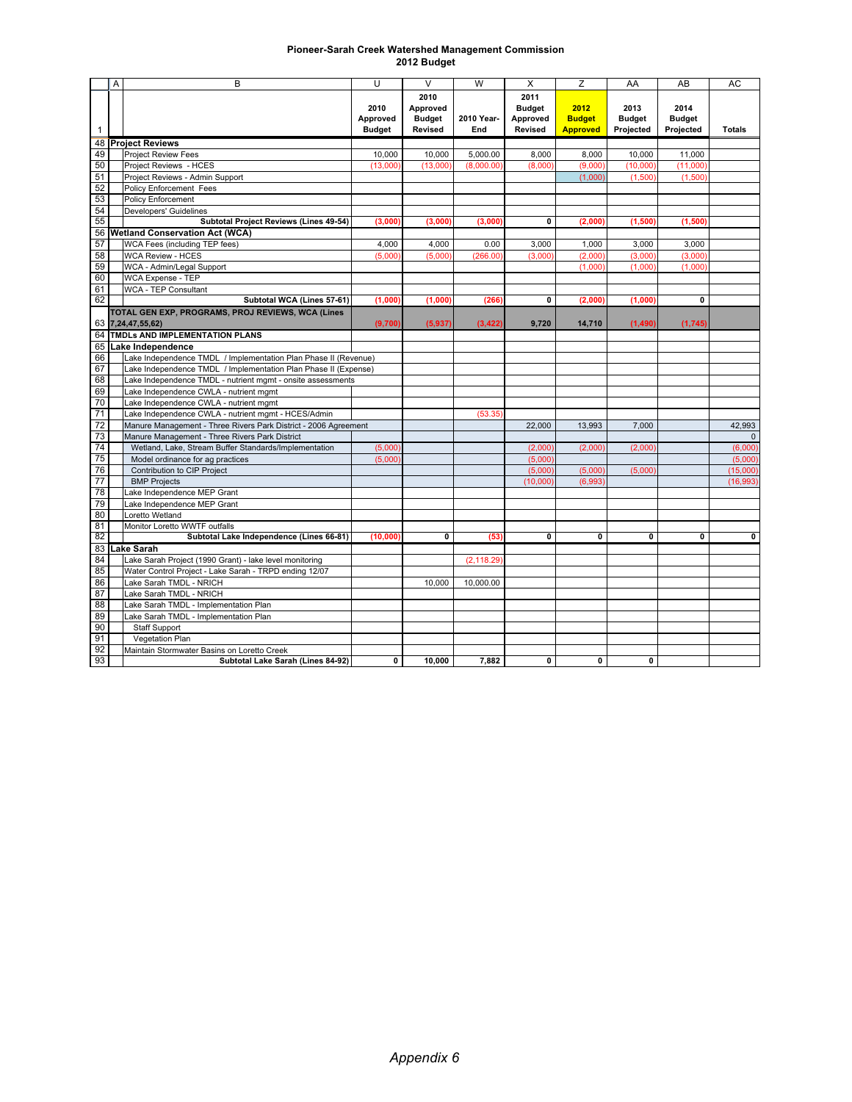| <b>Pioneer-Sarah Creek Watershed Management Commission</b> |
|------------------------------------------------------------|
| 2012 Budget                                                |

| 2010<br>2011<br>2012<br>2010<br>Approved<br><b>Budget</b><br>2013<br>2014<br><b>Budget</b><br>Approved<br>2010 Year-<br>Approved<br><b>Budget</b><br><b>Budget</b><br><b>Budget</b><br><b>Budget</b><br><b>Revised</b><br><b>Revised</b><br><b>Approved</b><br>Projected<br>Projected<br><b>Totals</b><br>End<br>$\mathbf{1}$<br><b>Project Reviews</b><br>48<br>49<br>5,000.00<br><b>Project Review Fees</b><br>10,000<br>10,000<br>8,000<br>8,000<br>10,000<br>11,000<br>50<br>Project Reviews - HCES<br>(13,000)<br>(13,000)<br>(8,000.00)<br>(8,000)<br>(9,000)<br>(10,000)<br>(11,000)<br>51<br>Project Reviews - Admin Support<br>(1,500)<br>(1,000)<br>(1,500)<br>52<br><b>Policy Enforcement Fees</b><br>53<br><b>Policy Enforcement</b><br>54<br>Developers' Guidelines<br>55<br>Subtotal Project Reviews (Lines 49-54)<br>(3,000)<br>(3,000)<br>$\mathbf 0$<br>(2,000)<br>(1,500)<br>(1,500)<br>(3,000)<br>56 Wetland Conservation Act (WCA)<br>57<br>WCA Fees (including TEP fees)<br>4,000<br>4,000<br>0.00<br>3,000<br>1.000<br>3,000<br>3,000<br>58<br><b>WCA Review - HCES</b><br>(5,000)<br>(2,000)<br>(3,000)<br>(3,000)<br>(5,000)<br>(266.00)<br>(3,000)<br>59<br>WCA - Admin/Legal Support<br>(1,000)<br>(1,000)<br>(1,000)<br>60<br><b>WCA Expense - TEP</b><br>61<br><b>WCA - TEP Consultant</b><br>62<br>Subtotal WCA (Lines 57-61)<br>(266)<br>(1,000)<br>(1,000)<br>$\mathbf 0$<br>(2,000)<br>(1,000)<br>0<br>TOTAL GEN EXP, PROGRAMS, PROJ REVIEWS, WCA (Lines<br>63 7,24,47,55,62)<br>(9,700)<br>(5,937)<br>(3, 422)<br>9,720<br>14,710<br>(1,490)<br>(1,745)<br>TMDLs AND IMPLEMENTATION PLANS<br>64<br>65<br>Lake Independence<br>66<br>Lake Independence TMDL / Implementation Plan Phase II (Revenue)<br>67<br>Lake Independence TMDL / Implementation Plan Phase II (Expense)<br>68<br>Lake Independence TMDL - nutrient mgmt - onsite assessments<br>Lake Independence CWLA - nutrient mgmt<br>69<br>70<br>Lake Independence CWLA - nutrient mgmt<br>71<br>Lake Independence CWLA - nutrient mgmt - HCES/Admin<br>(53.35)<br>72<br>Manure Management - Three Rivers Park District - 2006 Agreement<br>13,993<br>42,993<br>22,000<br>7,000<br>73<br>Manure Management - Three Rivers Park District<br>$\mathbf{0}$<br>74<br>Wetland, Lake, Stream Buffer Standards/Implementation<br>(2,000)<br>(6,000)<br>(5,000)<br>(2,000)<br>(2,000)<br>75<br>Model ordinance for ag practices<br>(5,000)<br>(5,000)<br>(5,000)<br>76<br>Contribution to CIP Project<br>(5,000)<br>(5.000)<br>(5.000)<br>(15.000)<br>77<br><b>BMP Projects</b><br>(10,000)<br>(6,993)<br>(16, 993)<br>78<br>ake Independence MEP Grant<br>79<br>Lake Independence MEP Grant<br>80<br>Loretto Wetland<br>81<br>Monitor Loretto WWTF outfalls<br>82<br>Subtotal Lake Independence (Lines 66-81)<br>(53)<br>$\overline{0}$<br>$\overline{\mathbf{0}}$<br>$\overline{0}$<br>$\overline{\mathbf{0}}$<br>(10,000)<br>0<br>$\mathbf{0}$<br>83<br>Lake Sarah<br>84<br>Lake Sarah Project (1990 Grant) - lake level monitoring<br>(2, 118.29)<br>85<br>Water Control Project - Lake Sarah - TRPD ending 12/07<br>86<br>Lake Sarah TMDL - NRICH<br>10,000.00<br>10,000<br>87<br>Lake Sarah TMDL - NRICH<br>88<br>Lake Sarah TMDL - Implementation Plan<br>89<br>Lake Sarah TMDL - Implementation Plan<br>90<br><b>Staff Support</b><br>91<br>Vegetation Plan<br>92<br>Maintain Stormwater Basins on Loretto Creek<br>0<br>0<br>0 |    | A | B                                 | U | $\vee$ | W     | X | Z | AA | AB | AC |
|----------------------------------------------------------------------------------------------------------------------------------------------------------------------------------------------------------------------------------------------------------------------------------------------------------------------------------------------------------------------------------------------------------------------------------------------------------------------------------------------------------------------------------------------------------------------------------------------------------------------------------------------------------------------------------------------------------------------------------------------------------------------------------------------------------------------------------------------------------------------------------------------------------------------------------------------------------------------------------------------------------------------------------------------------------------------------------------------------------------------------------------------------------------------------------------------------------------------------------------------------------------------------------------------------------------------------------------------------------------------------------------------------------------------------------------------------------------------------------------------------------------------------------------------------------------------------------------------------------------------------------------------------------------------------------------------------------------------------------------------------------------------------------------------------------------------------------------------------------------------------------------------------------------------------------------------------------------------------------------------------------------------------------------------------------------------------------------------------------------------------------------------------------------------------------------------------------------------------------------------------------------------------------------------------------------------------------------------------------------------------------------------------------------------------------------------------------------------------------------------------------------------------------------------------------------------------------------------------------------------------------------------------------------------------------------------------------------------------------------------------------------------------------------------------------------------------------------------------------------------------------------------------------------------------------------------------------------------------------------------------------------------------------------------------------------------------------------------------------------------------------------------------------------------------------------------------------------------------------------------------------------------------------------------------------------------------------------------------------------------------------------------------------------------------|----|---|-----------------------------------|---|--------|-------|---|---|----|----|----|
|                                                                                                                                                                                                                                                                                                                                                                                                                                                                                                                                                                                                                                                                                                                                                                                                                                                                                                                                                                                                                                                                                                                                                                                                                                                                                                                                                                                                                                                                                                                                                                                                                                                                                                                                                                                                                                                                                                                                                                                                                                                                                                                                                                                                                                                                                                                                                                                                                                                                                                                                                                                                                                                                                                                                                                                                                                                                                                                                                                                                                                                                                                                                                                                                                                                                                                                                                                                                                            |    |   |                                   |   |        |       |   |   |    |    |    |
|                                                                                                                                                                                                                                                                                                                                                                                                                                                                                                                                                                                                                                                                                                                                                                                                                                                                                                                                                                                                                                                                                                                                                                                                                                                                                                                                                                                                                                                                                                                                                                                                                                                                                                                                                                                                                                                                                                                                                                                                                                                                                                                                                                                                                                                                                                                                                                                                                                                                                                                                                                                                                                                                                                                                                                                                                                                                                                                                                                                                                                                                                                                                                                                                                                                                                                                                                                                                                            |    |   |                                   |   |        |       |   |   |    |    |    |
|                                                                                                                                                                                                                                                                                                                                                                                                                                                                                                                                                                                                                                                                                                                                                                                                                                                                                                                                                                                                                                                                                                                                                                                                                                                                                                                                                                                                                                                                                                                                                                                                                                                                                                                                                                                                                                                                                                                                                                                                                                                                                                                                                                                                                                                                                                                                                                                                                                                                                                                                                                                                                                                                                                                                                                                                                                                                                                                                                                                                                                                                                                                                                                                                                                                                                                                                                                                                                            |    |   |                                   |   |        |       |   |   |    |    |    |
|                                                                                                                                                                                                                                                                                                                                                                                                                                                                                                                                                                                                                                                                                                                                                                                                                                                                                                                                                                                                                                                                                                                                                                                                                                                                                                                                                                                                                                                                                                                                                                                                                                                                                                                                                                                                                                                                                                                                                                                                                                                                                                                                                                                                                                                                                                                                                                                                                                                                                                                                                                                                                                                                                                                                                                                                                                                                                                                                                                                                                                                                                                                                                                                                                                                                                                                                                                                                                            |    |   |                                   |   |        |       |   |   |    |    |    |
|                                                                                                                                                                                                                                                                                                                                                                                                                                                                                                                                                                                                                                                                                                                                                                                                                                                                                                                                                                                                                                                                                                                                                                                                                                                                                                                                                                                                                                                                                                                                                                                                                                                                                                                                                                                                                                                                                                                                                                                                                                                                                                                                                                                                                                                                                                                                                                                                                                                                                                                                                                                                                                                                                                                                                                                                                                                                                                                                                                                                                                                                                                                                                                                                                                                                                                                                                                                                                            |    |   |                                   |   |        |       |   |   |    |    |    |
|                                                                                                                                                                                                                                                                                                                                                                                                                                                                                                                                                                                                                                                                                                                                                                                                                                                                                                                                                                                                                                                                                                                                                                                                                                                                                                                                                                                                                                                                                                                                                                                                                                                                                                                                                                                                                                                                                                                                                                                                                                                                                                                                                                                                                                                                                                                                                                                                                                                                                                                                                                                                                                                                                                                                                                                                                                                                                                                                                                                                                                                                                                                                                                                                                                                                                                                                                                                                                            |    |   |                                   |   |        |       |   |   |    |    |    |
|                                                                                                                                                                                                                                                                                                                                                                                                                                                                                                                                                                                                                                                                                                                                                                                                                                                                                                                                                                                                                                                                                                                                                                                                                                                                                                                                                                                                                                                                                                                                                                                                                                                                                                                                                                                                                                                                                                                                                                                                                                                                                                                                                                                                                                                                                                                                                                                                                                                                                                                                                                                                                                                                                                                                                                                                                                                                                                                                                                                                                                                                                                                                                                                                                                                                                                                                                                                                                            |    |   |                                   |   |        |       |   |   |    |    |    |
|                                                                                                                                                                                                                                                                                                                                                                                                                                                                                                                                                                                                                                                                                                                                                                                                                                                                                                                                                                                                                                                                                                                                                                                                                                                                                                                                                                                                                                                                                                                                                                                                                                                                                                                                                                                                                                                                                                                                                                                                                                                                                                                                                                                                                                                                                                                                                                                                                                                                                                                                                                                                                                                                                                                                                                                                                                                                                                                                                                                                                                                                                                                                                                                                                                                                                                                                                                                                                            |    |   |                                   |   |        |       |   |   |    |    |    |
|                                                                                                                                                                                                                                                                                                                                                                                                                                                                                                                                                                                                                                                                                                                                                                                                                                                                                                                                                                                                                                                                                                                                                                                                                                                                                                                                                                                                                                                                                                                                                                                                                                                                                                                                                                                                                                                                                                                                                                                                                                                                                                                                                                                                                                                                                                                                                                                                                                                                                                                                                                                                                                                                                                                                                                                                                                                                                                                                                                                                                                                                                                                                                                                                                                                                                                                                                                                                                            |    |   |                                   |   |        |       |   |   |    |    |    |
|                                                                                                                                                                                                                                                                                                                                                                                                                                                                                                                                                                                                                                                                                                                                                                                                                                                                                                                                                                                                                                                                                                                                                                                                                                                                                                                                                                                                                                                                                                                                                                                                                                                                                                                                                                                                                                                                                                                                                                                                                                                                                                                                                                                                                                                                                                                                                                                                                                                                                                                                                                                                                                                                                                                                                                                                                                                                                                                                                                                                                                                                                                                                                                                                                                                                                                                                                                                                                            |    |   |                                   |   |        |       |   |   |    |    |    |
|                                                                                                                                                                                                                                                                                                                                                                                                                                                                                                                                                                                                                                                                                                                                                                                                                                                                                                                                                                                                                                                                                                                                                                                                                                                                                                                                                                                                                                                                                                                                                                                                                                                                                                                                                                                                                                                                                                                                                                                                                                                                                                                                                                                                                                                                                                                                                                                                                                                                                                                                                                                                                                                                                                                                                                                                                                                                                                                                                                                                                                                                                                                                                                                                                                                                                                                                                                                                                            |    |   |                                   |   |        |       |   |   |    |    |    |
|                                                                                                                                                                                                                                                                                                                                                                                                                                                                                                                                                                                                                                                                                                                                                                                                                                                                                                                                                                                                                                                                                                                                                                                                                                                                                                                                                                                                                                                                                                                                                                                                                                                                                                                                                                                                                                                                                                                                                                                                                                                                                                                                                                                                                                                                                                                                                                                                                                                                                                                                                                                                                                                                                                                                                                                                                                                                                                                                                                                                                                                                                                                                                                                                                                                                                                                                                                                                                            |    |   |                                   |   |        |       |   |   |    |    |    |
|                                                                                                                                                                                                                                                                                                                                                                                                                                                                                                                                                                                                                                                                                                                                                                                                                                                                                                                                                                                                                                                                                                                                                                                                                                                                                                                                                                                                                                                                                                                                                                                                                                                                                                                                                                                                                                                                                                                                                                                                                                                                                                                                                                                                                                                                                                                                                                                                                                                                                                                                                                                                                                                                                                                                                                                                                                                                                                                                                                                                                                                                                                                                                                                                                                                                                                                                                                                                                            |    |   |                                   |   |        |       |   |   |    |    |    |
|                                                                                                                                                                                                                                                                                                                                                                                                                                                                                                                                                                                                                                                                                                                                                                                                                                                                                                                                                                                                                                                                                                                                                                                                                                                                                                                                                                                                                                                                                                                                                                                                                                                                                                                                                                                                                                                                                                                                                                                                                                                                                                                                                                                                                                                                                                                                                                                                                                                                                                                                                                                                                                                                                                                                                                                                                                                                                                                                                                                                                                                                                                                                                                                                                                                                                                                                                                                                                            |    |   |                                   |   |        |       |   |   |    |    |    |
|                                                                                                                                                                                                                                                                                                                                                                                                                                                                                                                                                                                                                                                                                                                                                                                                                                                                                                                                                                                                                                                                                                                                                                                                                                                                                                                                                                                                                                                                                                                                                                                                                                                                                                                                                                                                                                                                                                                                                                                                                                                                                                                                                                                                                                                                                                                                                                                                                                                                                                                                                                                                                                                                                                                                                                                                                                                                                                                                                                                                                                                                                                                                                                                                                                                                                                                                                                                                                            |    |   |                                   |   |        |       |   |   |    |    |    |
|                                                                                                                                                                                                                                                                                                                                                                                                                                                                                                                                                                                                                                                                                                                                                                                                                                                                                                                                                                                                                                                                                                                                                                                                                                                                                                                                                                                                                                                                                                                                                                                                                                                                                                                                                                                                                                                                                                                                                                                                                                                                                                                                                                                                                                                                                                                                                                                                                                                                                                                                                                                                                                                                                                                                                                                                                                                                                                                                                                                                                                                                                                                                                                                                                                                                                                                                                                                                                            |    |   |                                   |   |        |       |   |   |    |    |    |
|                                                                                                                                                                                                                                                                                                                                                                                                                                                                                                                                                                                                                                                                                                                                                                                                                                                                                                                                                                                                                                                                                                                                                                                                                                                                                                                                                                                                                                                                                                                                                                                                                                                                                                                                                                                                                                                                                                                                                                                                                                                                                                                                                                                                                                                                                                                                                                                                                                                                                                                                                                                                                                                                                                                                                                                                                                                                                                                                                                                                                                                                                                                                                                                                                                                                                                                                                                                                                            |    |   |                                   |   |        |       |   |   |    |    |    |
|                                                                                                                                                                                                                                                                                                                                                                                                                                                                                                                                                                                                                                                                                                                                                                                                                                                                                                                                                                                                                                                                                                                                                                                                                                                                                                                                                                                                                                                                                                                                                                                                                                                                                                                                                                                                                                                                                                                                                                                                                                                                                                                                                                                                                                                                                                                                                                                                                                                                                                                                                                                                                                                                                                                                                                                                                                                                                                                                                                                                                                                                                                                                                                                                                                                                                                                                                                                                                            |    |   |                                   |   |        |       |   |   |    |    |    |
|                                                                                                                                                                                                                                                                                                                                                                                                                                                                                                                                                                                                                                                                                                                                                                                                                                                                                                                                                                                                                                                                                                                                                                                                                                                                                                                                                                                                                                                                                                                                                                                                                                                                                                                                                                                                                                                                                                                                                                                                                                                                                                                                                                                                                                                                                                                                                                                                                                                                                                                                                                                                                                                                                                                                                                                                                                                                                                                                                                                                                                                                                                                                                                                                                                                                                                                                                                                                                            |    |   |                                   |   |        |       |   |   |    |    |    |
|                                                                                                                                                                                                                                                                                                                                                                                                                                                                                                                                                                                                                                                                                                                                                                                                                                                                                                                                                                                                                                                                                                                                                                                                                                                                                                                                                                                                                                                                                                                                                                                                                                                                                                                                                                                                                                                                                                                                                                                                                                                                                                                                                                                                                                                                                                                                                                                                                                                                                                                                                                                                                                                                                                                                                                                                                                                                                                                                                                                                                                                                                                                                                                                                                                                                                                                                                                                                                            |    |   |                                   |   |        |       |   |   |    |    |    |
|                                                                                                                                                                                                                                                                                                                                                                                                                                                                                                                                                                                                                                                                                                                                                                                                                                                                                                                                                                                                                                                                                                                                                                                                                                                                                                                                                                                                                                                                                                                                                                                                                                                                                                                                                                                                                                                                                                                                                                                                                                                                                                                                                                                                                                                                                                                                                                                                                                                                                                                                                                                                                                                                                                                                                                                                                                                                                                                                                                                                                                                                                                                                                                                                                                                                                                                                                                                                                            |    |   |                                   |   |        |       |   |   |    |    |    |
|                                                                                                                                                                                                                                                                                                                                                                                                                                                                                                                                                                                                                                                                                                                                                                                                                                                                                                                                                                                                                                                                                                                                                                                                                                                                                                                                                                                                                                                                                                                                                                                                                                                                                                                                                                                                                                                                                                                                                                                                                                                                                                                                                                                                                                                                                                                                                                                                                                                                                                                                                                                                                                                                                                                                                                                                                                                                                                                                                                                                                                                                                                                                                                                                                                                                                                                                                                                                                            |    |   |                                   |   |        |       |   |   |    |    |    |
|                                                                                                                                                                                                                                                                                                                                                                                                                                                                                                                                                                                                                                                                                                                                                                                                                                                                                                                                                                                                                                                                                                                                                                                                                                                                                                                                                                                                                                                                                                                                                                                                                                                                                                                                                                                                                                                                                                                                                                                                                                                                                                                                                                                                                                                                                                                                                                                                                                                                                                                                                                                                                                                                                                                                                                                                                                                                                                                                                                                                                                                                                                                                                                                                                                                                                                                                                                                                                            |    |   |                                   |   |        |       |   |   |    |    |    |
|                                                                                                                                                                                                                                                                                                                                                                                                                                                                                                                                                                                                                                                                                                                                                                                                                                                                                                                                                                                                                                                                                                                                                                                                                                                                                                                                                                                                                                                                                                                                                                                                                                                                                                                                                                                                                                                                                                                                                                                                                                                                                                                                                                                                                                                                                                                                                                                                                                                                                                                                                                                                                                                                                                                                                                                                                                                                                                                                                                                                                                                                                                                                                                                                                                                                                                                                                                                                                            |    |   |                                   |   |        |       |   |   |    |    |    |
|                                                                                                                                                                                                                                                                                                                                                                                                                                                                                                                                                                                                                                                                                                                                                                                                                                                                                                                                                                                                                                                                                                                                                                                                                                                                                                                                                                                                                                                                                                                                                                                                                                                                                                                                                                                                                                                                                                                                                                                                                                                                                                                                                                                                                                                                                                                                                                                                                                                                                                                                                                                                                                                                                                                                                                                                                                                                                                                                                                                                                                                                                                                                                                                                                                                                                                                                                                                                                            |    |   |                                   |   |        |       |   |   |    |    |    |
|                                                                                                                                                                                                                                                                                                                                                                                                                                                                                                                                                                                                                                                                                                                                                                                                                                                                                                                                                                                                                                                                                                                                                                                                                                                                                                                                                                                                                                                                                                                                                                                                                                                                                                                                                                                                                                                                                                                                                                                                                                                                                                                                                                                                                                                                                                                                                                                                                                                                                                                                                                                                                                                                                                                                                                                                                                                                                                                                                                                                                                                                                                                                                                                                                                                                                                                                                                                                                            |    |   |                                   |   |        |       |   |   |    |    |    |
|                                                                                                                                                                                                                                                                                                                                                                                                                                                                                                                                                                                                                                                                                                                                                                                                                                                                                                                                                                                                                                                                                                                                                                                                                                                                                                                                                                                                                                                                                                                                                                                                                                                                                                                                                                                                                                                                                                                                                                                                                                                                                                                                                                                                                                                                                                                                                                                                                                                                                                                                                                                                                                                                                                                                                                                                                                                                                                                                                                                                                                                                                                                                                                                                                                                                                                                                                                                                                            |    |   |                                   |   |        |       |   |   |    |    |    |
|                                                                                                                                                                                                                                                                                                                                                                                                                                                                                                                                                                                                                                                                                                                                                                                                                                                                                                                                                                                                                                                                                                                                                                                                                                                                                                                                                                                                                                                                                                                                                                                                                                                                                                                                                                                                                                                                                                                                                                                                                                                                                                                                                                                                                                                                                                                                                                                                                                                                                                                                                                                                                                                                                                                                                                                                                                                                                                                                                                                                                                                                                                                                                                                                                                                                                                                                                                                                                            |    |   |                                   |   |        |       |   |   |    |    |    |
|                                                                                                                                                                                                                                                                                                                                                                                                                                                                                                                                                                                                                                                                                                                                                                                                                                                                                                                                                                                                                                                                                                                                                                                                                                                                                                                                                                                                                                                                                                                                                                                                                                                                                                                                                                                                                                                                                                                                                                                                                                                                                                                                                                                                                                                                                                                                                                                                                                                                                                                                                                                                                                                                                                                                                                                                                                                                                                                                                                                                                                                                                                                                                                                                                                                                                                                                                                                                                            |    |   |                                   |   |        |       |   |   |    |    |    |
|                                                                                                                                                                                                                                                                                                                                                                                                                                                                                                                                                                                                                                                                                                                                                                                                                                                                                                                                                                                                                                                                                                                                                                                                                                                                                                                                                                                                                                                                                                                                                                                                                                                                                                                                                                                                                                                                                                                                                                                                                                                                                                                                                                                                                                                                                                                                                                                                                                                                                                                                                                                                                                                                                                                                                                                                                                                                                                                                                                                                                                                                                                                                                                                                                                                                                                                                                                                                                            |    |   |                                   |   |        |       |   |   |    |    |    |
|                                                                                                                                                                                                                                                                                                                                                                                                                                                                                                                                                                                                                                                                                                                                                                                                                                                                                                                                                                                                                                                                                                                                                                                                                                                                                                                                                                                                                                                                                                                                                                                                                                                                                                                                                                                                                                                                                                                                                                                                                                                                                                                                                                                                                                                                                                                                                                                                                                                                                                                                                                                                                                                                                                                                                                                                                                                                                                                                                                                                                                                                                                                                                                                                                                                                                                                                                                                                                            |    |   |                                   |   |        |       |   |   |    |    |    |
|                                                                                                                                                                                                                                                                                                                                                                                                                                                                                                                                                                                                                                                                                                                                                                                                                                                                                                                                                                                                                                                                                                                                                                                                                                                                                                                                                                                                                                                                                                                                                                                                                                                                                                                                                                                                                                                                                                                                                                                                                                                                                                                                                                                                                                                                                                                                                                                                                                                                                                                                                                                                                                                                                                                                                                                                                                                                                                                                                                                                                                                                                                                                                                                                                                                                                                                                                                                                                            |    |   |                                   |   |        |       |   |   |    |    |    |
|                                                                                                                                                                                                                                                                                                                                                                                                                                                                                                                                                                                                                                                                                                                                                                                                                                                                                                                                                                                                                                                                                                                                                                                                                                                                                                                                                                                                                                                                                                                                                                                                                                                                                                                                                                                                                                                                                                                                                                                                                                                                                                                                                                                                                                                                                                                                                                                                                                                                                                                                                                                                                                                                                                                                                                                                                                                                                                                                                                                                                                                                                                                                                                                                                                                                                                                                                                                                                            |    |   |                                   |   |        |       |   |   |    |    |    |
|                                                                                                                                                                                                                                                                                                                                                                                                                                                                                                                                                                                                                                                                                                                                                                                                                                                                                                                                                                                                                                                                                                                                                                                                                                                                                                                                                                                                                                                                                                                                                                                                                                                                                                                                                                                                                                                                                                                                                                                                                                                                                                                                                                                                                                                                                                                                                                                                                                                                                                                                                                                                                                                                                                                                                                                                                                                                                                                                                                                                                                                                                                                                                                                                                                                                                                                                                                                                                            |    |   |                                   |   |        |       |   |   |    |    |    |
|                                                                                                                                                                                                                                                                                                                                                                                                                                                                                                                                                                                                                                                                                                                                                                                                                                                                                                                                                                                                                                                                                                                                                                                                                                                                                                                                                                                                                                                                                                                                                                                                                                                                                                                                                                                                                                                                                                                                                                                                                                                                                                                                                                                                                                                                                                                                                                                                                                                                                                                                                                                                                                                                                                                                                                                                                                                                                                                                                                                                                                                                                                                                                                                                                                                                                                                                                                                                                            |    |   |                                   |   |        |       |   |   |    |    |    |
|                                                                                                                                                                                                                                                                                                                                                                                                                                                                                                                                                                                                                                                                                                                                                                                                                                                                                                                                                                                                                                                                                                                                                                                                                                                                                                                                                                                                                                                                                                                                                                                                                                                                                                                                                                                                                                                                                                                                                                                                                                                                                                                                                                                                                                                                                                                                                                                                                                                                                                                                                                                                                                                                                                                                                                                                                                                                                                                                                                                                                                                                                                                                                                                                                                                                                                                                                                                                                            |    |   |                                   |   |        |       |   |   |    |    |    |
|                                                                                                                                                                                                                                                                                                                                                                                                                                                                                                                                                                                                                                                                                                                                                                                                                                                                                                                                                                                                                                                                                                                                                                                                                                                                                                                                                                                                                                                                                                                                                                                                                                                                                                                                                                                                                                                                                                                                                                                                                                                                                                                                                                                                                                                                                                                                                                                                                                                                                                                                                                                                                                                                                                                                                                                                                                                                                                                                                                                                                                                                                                                                                                                                                                                                                                                                                                                                                            |    |   |                                   |   |        |       |   |   |    |    |    |
|                                                                                                                                                                                                                                                                                                                                                                                                                                                                                                                                                                                                                                                                                                                                                                                                                                                                                                                                                                                                                                                                                                                                                                                                                                                                                                                                                                                                                                                                                                                                                                                                                                                                                                                                                                                                                                                                                                                                                                                                                                                                                                                                                                                                                                                                                                                                                                                                                                                                                                                                                                                                                                                                                                                                                                                                                                                                                                                                                                                                                                                                                                                                                                                                                                                                                                                                                                                                                            |    |   |                                   |   |        |       |   |   |    |    |    |
|                                                                                                                                                                                                                                                                                                                                                                                                                                                                                                                                                                                                                                                                                                                                                                                                                                                                                                                                                                                                                                                                                                                                                                                                                                                                                                                                                                                                                                                                                                                                                                                                                                                                                                                                                                                                                                                                                                                                                                                                                                                                                                                                                                                                                                                                                                                                                                                                                                                                                                                                                                                                                                                                                                                                                                                                                                                                                                                                                                                                                                                                                                                                                                                                                                                                                                                                                                                                                            |    |   |                                   |   |        |       |   |   |    |    |    |
|                                                                                                                                                                                                                                                                                                                                                                                                                                                                                                                                                                                                                                                                                                                                                                                                                                                                                                                                                                                                                                                                                                                                                                                                                                                                                                                                                                                                                                                                                                                                                                                                                                                                                                                                                                                                                                                                                                                                                                                                                                                                                                                                                                                                                                                                                                                                                                                                                                                                                                                                                                                                                                                                                                                                                                                                                                                                                                                                                                                                                                                                                                                                                                                                                                                                                                                                                                                                                            |    |   |                                   |   |        |       |   |   |    |    |    |
|                                                                                                                                                                                                                                                                                                                                                                                                                                                                                                                                                                                                                                                                                                                                                                                                                                                                                                                                                                                                                                                                                                                                                                                                                                                                                                                                                                                                                                                                                                                                                                                                                                                                                                                                                                                                                                                                                                                                                                                                                                                                                                                                                                                                                                                                                                                                                                                                                                                                                                                                                                                                                                                                                                                                                                                                                                                                                                                                                                                                                                                                                                                                                                                                                                                                                                                                                                                                                            |    |   |                                   |   |        |       |   |   |    |    |    |
|                                                                                                                                                                                                                                                                                                                                                                                                                                                                                                                                                                                                                                                                                                                                                                                                                                                                                                                                                                                                                                                                                                                                                                                                                                                                                                                                                                                                                                                                                                                                                                                                                                                                                                                                                                                                                                                                                                                                                                                                                                                                                                                                                                                                                                                                                                                                                                                                                                                                                                                                                                                                                                                                                                                                                                                                                                                                                                                                                                                                                                                                                                                                                                                                                                                                                                                                                                                                                            |    |   |                                   |   |        |       |   |   |    |    |    |
|                                                                                                                                                                                                                                                                                                                                                                                                                                                                                                                                                                                                                                                                                                                                                                                                                                                                                                                                                                                                                                                                                                                                                                                                                                                                                                                                                                                                                                                                                                                                                                                                                                                                                                                                                                                                                                                                                                                                                                                                                                                                                                                                                                                                                                                                                                                                                                                                                                                                                                                                                                                                                                                                                                                                                                                                                                                                                                                                                                                                                                                                                                                                                                                                                                                                                                                                                                                                                            |    |   |                                   |   |        |       |   |   |    |    |    |
|                                                                                                                                                                                                                                                                                                                                                                                                                                                                                                                                                                                                                                                                                                                                                                                                                                                                                                                                                                                                                                                                                                                                                                                                                                                                                                                                                                                                                                                                                                                                                                                                                                                                                                                                                                                                                                                                                                                                                                                                                                                                                                                                                                                                                                                                                                                                                                                                                                                                                                                                                                                                                                                                                                                                                                                                                                                                                                                                                                                                                                                                                                                                                                                                                                                                                                                                                                                                                            |    |   |                                   |   |        |       |   |   |    |    |    |
|                                                                                                                                                                                                                                                                                                                                                                                                                                                                                                                                                                                                                                                                                                                                                                                                                                                                                                                                                                                                                                                                                                                                                                                                                                                                                                                                                                                                                                                                                                                                                                                                                                                                                                                                                                                                                                                                                                                                                                                                                                                                                                                                                                                                                                                                                                                                                                                                                                                                                                                                                                                                                                                                                                                                                                                                                                                                                                                                                                                                                                                                                                                                                                                                                                                                                                                                                                                                                            |    |   |                                   |   |        |       |   |   |    |    |    |
|                                                                                                                                                                                                                                                                                                                                                                                                                                                                                                                                                                                                                                                                                                                                                                                                                                                                                                                                                                                                                                                                                                                                                                                                                                                                                                                                                                                                                                                                                                                                                                                                                                                                                                                                                                                                                                                                                                                                                                                                                                                                                                                                                                                                                                                                                                                                                                                                                                                                                                                                                                                                                                                                                                                                                                                                                                                                                                                                                                                                                                                                                                                                                                                                                                                                                                                                                                                                                            |    |   |                                   |   |        |       |   |   |    |    |    |
|                                                                                                                                                                                                                                                                                                                                                                                                                                                                                                                                                                                                                                                                                                                                                                                                                                                                                                                                                                                                                                                                                                                                                                                                                                                                                                                                                                                                                                                                                                                                                                                                                                                                                                                                                                                                                                                                                                                                                                                                                                                                                                                                                                                                                                                                                                                                                                                                                                                                                                                                                                                                                                                                                                                                                                                                                                                                                                                                                                                                                                                                                                                                                                                                                                                                                                                                                                                                                            |    |   |                                   |   |        |       |   |   |    |    |    |
|                                                                                                                                                                                                                                                                                                                                                                                                                                                                                                                                                                                                                                                                                                                                                                                                                                                                                                                                                                                                                                                                                                                                                                                                                                                                                                                                                                                                                                                                                                                                                                                                                                                                                                                                                                                                                                                                                                                                                                                                                                                                                                                                                                                                                                                                                                                                                                                                                                                                                                                                                                                                                                                                                                                                                                                                                                                                                                                                                                                                                                                                                                                                                                                                                                                                                                                                                                                                                            | 93 |   | Subtotal Lake Sarah (Lines 84-92) |   | 10,000 | 7,882 |   |   | 0  |    |    |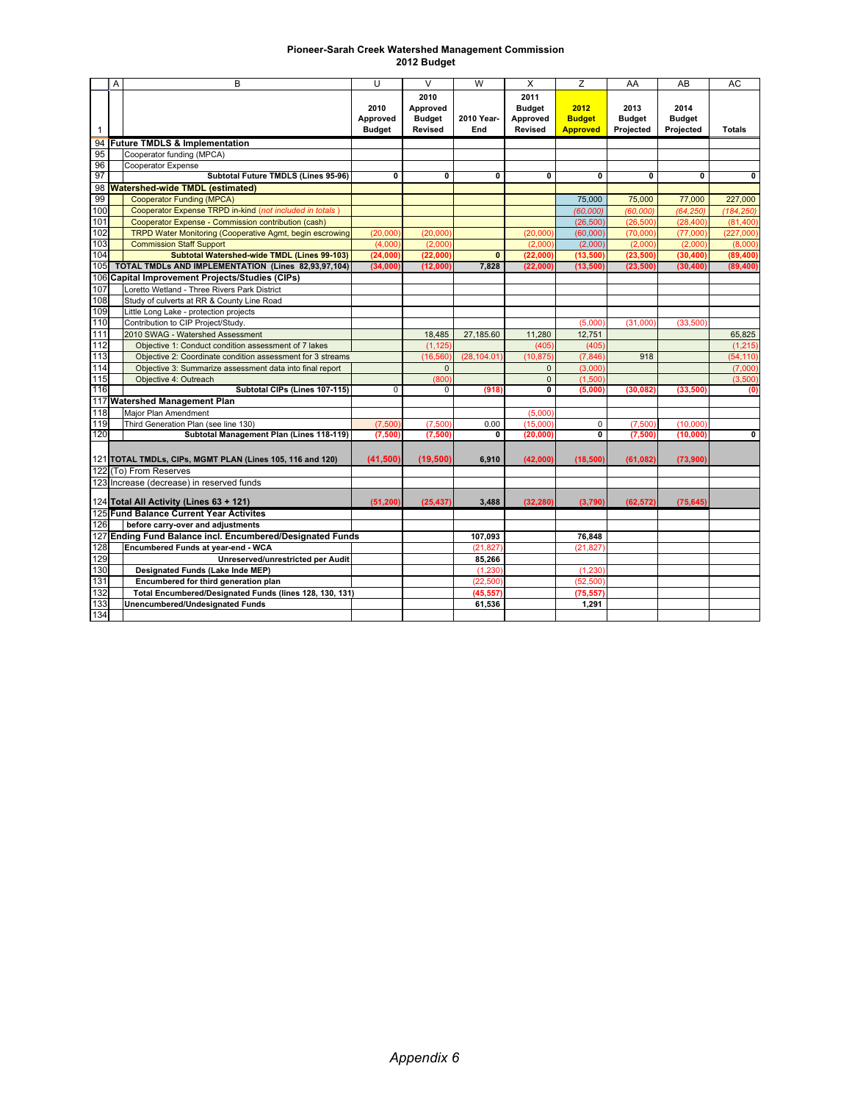## **Pioneer-Sarah Creek Watershed Management Commission 2012 Budget**

|                                                           | Α | B                                                          | U                                 | $\vee$                                              | W                 | X                                                   | Z                                        | AA                                 | AB                                 | AC            |
|-----------------------------------------------------------|---|------------------------------------------------------------|-----------------------------------|-----------------------------------------------------|-------------------|-----------------------------------------------------|------------------------------------------|------------------------------------|------------------------------------|---------------|
| $\mathbf{1}$                                              |   |                                                            | 2010<br>Approved<br><b>Budget</b> | 2010<br>Approved<br><b>Budget</b><br><b>Revised</b> | 2010 Year-<br>End | 2011<br><b>Budget</b><br>Approved<br><b>Revised</b> | 2012<br><b>Budget</b><br><b>Approved</b> | 2013<br><b>Budget</b><br>Projected | 2014<br><b>Budget</b><br>Projected | <b>Totals</b> |
| 94                                                        |   | <b>Future TMDLS &amp; Implementation</b>                   |                                   |                                                     |                   |                                                     |                                          |                                    |                                    |               |
| 95                                                        |   | Cooperator funding (MPCA)                                  |                                   |                                                     |                   |                                                     |                                          |                                    |                                    |               |
| 96                                                        |   | Cooperator Expense                                         |                                   |                                                     |                   |                                                     |                                          |                                    |                                    |               |
| 97                                                        |   | Subtotal Future TMDLS (Lines 95-96)                        | 0                                 | 0                                                   | 0                 | 0                                                   | 0                                        | 0                                  | 0                                  | $\bf{0}$      |
| <b>Watershed-wide TMDL (estimated)</b><br>98              |   |                                                            |                                   |                                                     |                   |                                                     |                                          |                                    |                                    |               |
| 99                                                        |   | <b>Cooperator Funding (MPCA)</b>                           |                                   |                                                     |                   |                                                     | 75,000                                   | 75,000                             | 77,000                             | 227,000       |
| 100                                                       |   | Cooperator Expense TRPD in-kind (not included in totals)   |                                   |                                                     |                   |                                                     | (60,000)                                 | (60,000)                           | (64, 250)                          | (184, 250)    |
| 101                                                       |   | Cooperator Expense - Commission contribution (cash)        |                                   |                                                     |                   |                                                     | (26, 500)                                | (26, 500)                          | (28, 400)                          | (81, 400)     |
| 102                                                       |   | TRPD Water Monitoring (Cooperative Agmt, begin escrowing   | (20,000)                          | (20,000)                                            |                   | (20,000)                                            | (60,000)                                 | (70,000)                           | (77,000)                           | (227,000)     |
| 103                                                       |   | <b>Commission Staff Support</b>                            | (4,000)                           | (2,000)                                             |                   | (2,000)                                             | (2,000)                                  | (2,000)                            | (2,000)                            | (8,000)       |
| 104                                                       |   | <b>Subtotal Watershed-wide TMDL (Lines 99-103)</b>         | (24,000)                          | (22,000)                                            | $\mathbf{0}$      | (22,000)                                            | (13,500)                                 | (23, 500)                          | (30, 400)                          | (89, 400)     |
| 105                                                       |   | TOTAL TMDLs AND IMPLEMENTATION (Lines 82,93,97,104)        | (34,000)                          | (12,000)                                            | 7,828             | (22,000)                                            | (13,500)                                 | (23, 500)                          | (30, 400)                          | (89, 400)     |
|                                                           |   | 106 Capital Improvement Projects/Studies (CIPs)            |                                   |                                                     |                   |                                                     |                                          |                                    |                                    |               |
| 107                                                       |   | Loretto Wetland - Three Rivers Park District               |                                   |                                                     |                   |                                                     |                                          |                                    |                                    |               |
| 108                                                       |   | Study of culverts at RR & County Line Road                 |                                   |                                                     |                   |                                                     |                                          |                                    |                                    |               |
| 109                                                       |   | Little Long Lake - protection projects                     |                                   |                                                     |                   |                                                     |                                          |                                    |                                    |               |
| 110                                                       |   | Contribution to CIP Project/Study.                         |                                   |                                                     |                   |                                                     | (5,000)                                  | (31,000)                           | (33,500)                           |               |
| 111                                                       |   | 2010 SWAG - Watershed Assessment                           |                                   | 18,485                                              | 27,185.60         | 11,280                                              | 12,751                                   |                                    |                                    | 65,825        |
| 112                                                       |   | Objective 1: Conduct condition assessment of 7 lakes       |                                   | (1, 125)                                            |                   | (405)                                               | (405)                                    |                                    |                                    | (1, 215)      |
| 113                                                       |   | Objective 2: Coordinate condition assessment for 3 streams |                                   | (16.560)                                            | (28, 104.01)      | (10, 875)                                           | (7, 846)                                 | 918                                |                                    | (54, 110)     |
| 114                                                       |   | Objective 3: Summarize assessment data into final report   |                                   | $\mathbf{0}$                                        |                   | $\mathbf{0}$                                        | (3,000)                                  |                                    |                                    | (7,000)       |
| 115                                                       |   | Objective 4: Outreach                                      |                                   | (800)                                               |                   | $\mathbf{0}$                                        | (1,500)                                  |                                    |                                    | (3,500)       |
| 116                                                       |   | Subtotal CIPs (Lines 107-115)                              | $\overline{0}$                    | 0                                                   | (918)             | $\overline{\mathbf{0}}$                             | (5.000)                                  | (30.082                            | (33, 500)                          | (0)           |
|                                                           |   | 117 Watershed Management Plan                              |                                   |                                                     |                   |                                                     |                                          |                                    |                                    |               |
| 118                                                       |   | Maior Plan Amendment                                       |                                   |                                                     |                   | (5,000)                                             |                                          |                                    |                                    |               |
| 119                                                       |   | Third Generation Plan (see line 130)                       | (7,500)                           | (7,500)                                             | 0.00              | (15.000)                                            | $\Omega$                                 | (7,500)                            | (10.000)                           |               |
| 120                                                       |   | Subtotal Management Plan (Lines 118-119)                   | (7,500)                           | (7,500)                                             | 0                 | (20, 000)                                           | 0                                        | (7,500)                            | (10,000)                           | 0             |
|                                                           |   | 121 TOTAL TMDLs, CIPs, MGMT PLAN (Lines 105, 116 and 120)  | (41,500)                          | (19, 500)                                           | 6.910             | (42,000)                                            | (18,500)                                 | (61, 082)                          | (73,900)                           |               |
|                                                           |   | 122 (To) From Reserves                                     |                                   |                                                     |                   |                                                     |                                          |                                    |                                    |               |
|                                                           |   | 123 Increase (decrease) in reserved funds                  |                                   |                                                     |                   |                                                     |                                          |                                    |                                    |               |
| 124 Total All Activity (Lines 63 + 121)                   |   | (51, 200)                                                  | (25, 437)                         | 3.488                                               | (32, 280)         | (3,790)                                             | (62, 572)                                | (75, 645)                          |                                    |               |
| 125 Fund Balance Current Year Activites                   |   |                                                            |                                   |                                                     |                   |                                                     |                                          |                                    |                                    |               |
| 126<br>before carry-over and adjustments                  |   |                                                            |                                   |                                                     |                   |                                                     |                                          |                                    |                                    |               |
| 127 Ending Fund Balance incl. Encumbered/Designated Funds |   |                                                            |                                   | 107,093                                             |                   | 76,848                                              |                                          |                                    |                                    |               |
| 128                                                       |   | Encumbered Funds at year-end - WCA                         |                                   |                                                     | (21, 827)         |                                                     | (21, 827)                                |                                    |                                    |               |
| 129                                                       |   | <b>Unreserved/unrestricted per Audit</b>                   |                                   |                                                     | 85.266            |                                                     |                                          |                                    |                                    |               |
| 130                                                       |   | Designated Funds (Lake Inde MEP)                           |                                   |                                                     | (1, 230)          |                                                     | (1, 230)                                 |                                    |                                    |               |
| 131                                                       |   | Encumbered for third generation plan                       |                                   |                                                     | (22, 500)         |                                                     | (52, 500)                                |                                    |                                    |               |
| 132                                                       |   | Total Encumbered/Designated Funds (lines 128, 130, 131)    |                                   |                                                     | (45, 557)         |                                                     | (75, 557)                                |                                    |                                    |               |
| 133                                                       |   | <b>Unencumbered/Undesignated Funds</b>                     |                                   |                                                     | 61,536            |                                                     | 1.291                                    |                                    |                                    |               |
| 134                                                       |   |                                                            |                                   |                                                     |                   |                                                     |                                          |                                    |                                    |               |